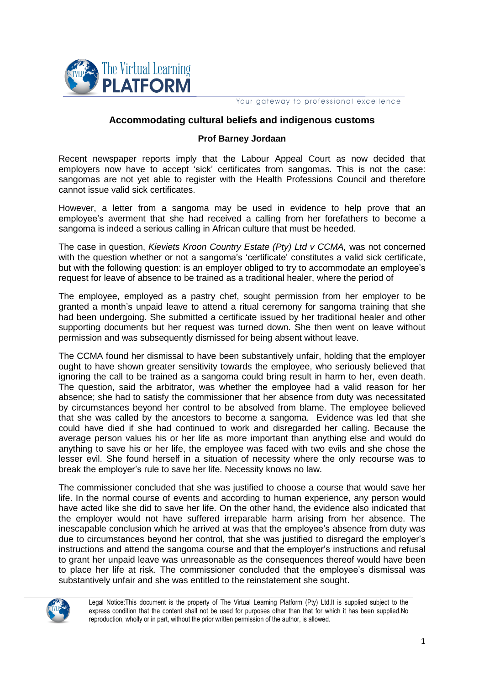

Your gateway to professional excellence

## **Accommodating cultural beliefs and indigenous customs**

## **Prof Barney Jordaan**

Recent newspaper reports imply that the Labour Appeal Court as now decided that employers now have to accept 'sick' certificates from sangomas. This is not the case: sangomas are not yet able to register with the Health Professions Council and therefore cannot issue valid sick certificates.

However, a letter from a sangoma may be used in evidence to help prove that an employee's averment that she had received a calling from her forefathers to become a sangoma is indeed a serious calling in African culture that must be heeded.

The case in question, *Kieviets Kroon Country Estate (Pty) Ltd v CCMA,* was not concerned with the question whether or not a sangoma's 'certificate' constitutes a valid sick certificate, but with the following question: is an employer obliged to try to accommodate an employee's request for leave of absence to be trained as a traditional healer, where the period of

The employee, employed as a pastry chef, sought permission from her employer to be granted a month's unpaid leave to attend a ritual ceremony for sangoma training that she had been undergoing. She submitted a certificate issued by her traditional healer and other supporting documents but her request was turned down. She then went on leave without permission and was subsequently dismissed for being absent without leave.

The CCMA found her dismissal to have been substantively unfair, holding that the employer ought to have shown greater sensitivity towards the employee, who seriously believed that ignoring the call to be trained as a sangoma could bring result in harm to her, even death. The question, said the arbitrator, was whether the employee had a valid reason for her absence; she had to satisfy the commissioner that her absence from duty was necessitated by circumstances beyond her control to be absolved from blame. The employee believed that she was called by the ancestors to become a sangoma. Evidence was led that she could have died if she had continued to work and disregarded her calling. Because the average person values his or her life as more important than anything else and would do anything to save his or her life, the employee was faced with two evils and she chose the lesser evil. She found herself in a situation of necessity where the only recourse was to break the employer's rule to save her life. Necessity knows no law.

The commissioner concluded that she was justified to choose a course that would save her life. In the normal course of events and according to human experience, any person would have acted like she did to save her life. On the other hand, the evidence also indicated that the employer would not have suffered irreparable harm arising from her absence. The inescapable conclusion which he arrived at was that the employee's absence from duty was due to circumstances beyond her control, that she was justified to disregard the employer's instructions and attend the sangoma course and that the employer's instructions and refusal to grant her unpaid leave was unreasonable as the consequences thereof would have been to place her life at risk. The commissioner concluded that the employee's dismissal was substantively unfair and she was entitled to the reinstatement she sought.



Legal Notice:This document is the property of The Virtual Learning Platform (Pty) Ltd.It is supplied subject to the express condition that the content shall not be used for purposes other than that for which it has been supplied.No reproduction, wholly or in part, without the prior written permission of the author, is allowed.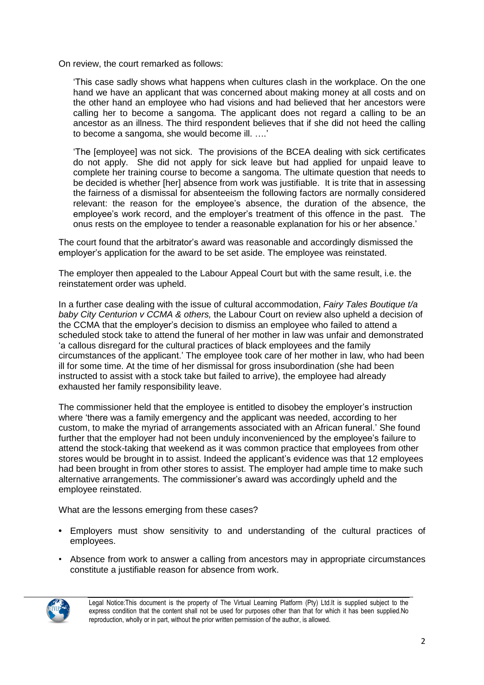On review, the court remarked as follows:

'This case sadly shows what happens when cultures clash in the workplace. On the one hand we have an applicant that was concerned about making money at all costs and on the other hand an employee who had visions and had believed that her ancestors were calling her to become a sangoma. The applicant does not regard a calling to be an ancestor as an illness. The third respondent believes that if she did not heed the calling to become a sangoma, she would become ill. ….'

'The [employee] was not sick. The provisions of the BCEA dealing with sick certificates do not apply. She did not apply for sick leave but had applied for unpaid leave to complete her training course to become a sangoma. The ultimate question that needs to be decided is whether [her] absence from work was justifiable. It is trite that in assessing the fairness of a dismissal for absenteeism the following factors are normally considered relevant: the reason for the employee's absence, the duration of the absence, the employee's work record, and the employer's treatment of this offence in the past. The onus rests on the employee to tender a reasonable explanation for his or her absence.'

The court found that the arbitrator's award was reasonable and accordingly dismissed the employer's application for the award to be set aside. The employee was reinstated.

The employer then appealed to the Labour Appeal Court but with the same result, i.e. the reinstatement order was upheld.

In a further case dealing with the issue of cultural accommodation, *Fairy Tales Boutique t/a baby City Centurion v CCMA & others,* the Labour Court on review also upheld a decision of the CCMA that the employer's decision to dismiss an employee who failed to attend a scheduled stock take to attend the funeral of her mother in law was unfair and demonstrated 'a callous disregard for the cultural practices of black employees and the family circumstances of the applicant.' The employee took care of her mother in law, who had been ill for some time. At the time of her dismissal for gross insubordination (she had been instructed to assist with a stock take but failed to arrive), the employee had already exhausted her family responsibility leave.

The commissioner held that the employee is entitled to disobey the employer's instruction where 'there was a family emergency and the applicant was needed, according to her custom, to make the myriad of arrangements associated with an African funeral.' She found further that the employer had not been unduly inconvenienced by the employee's failure to attend the stock-taking that weekend as it was common practice that employees from other stores would be brought in to assist. Indeed the applicant's evidence was that 12 employees had been brought in from other stores to assist. The employer had ample time to make such alternative arrangements. The commissioner's award was accordingly upheld and the employee reinstated.

What are the lessons emerging from these cases?

- **•** Employers must show sensitivity to and understanding of the cultural practices of employees.
- Absence from work to answer a calling from ancestors may in appropriate circumstances constitute a justifiable reason for absence from work.



Legal Notice:This document is the property of The Virtual Learning Platform (Pty) Ltd.It is supplied subject to the express condition that the content shall not be used for purposes other than that for which it has been supplied.No reproduction, wholly or in part, without the prior written permission of the author, is allowed.